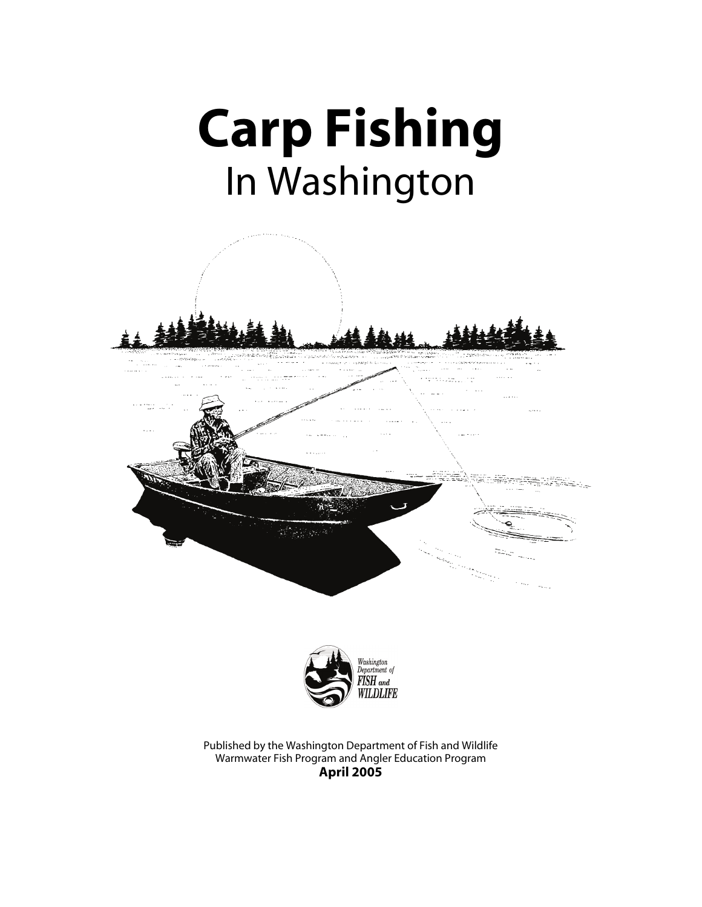





Published by the Washington Department of Fish and Wildlife Warmwater Fish Program and Angler Education Program **April 2005**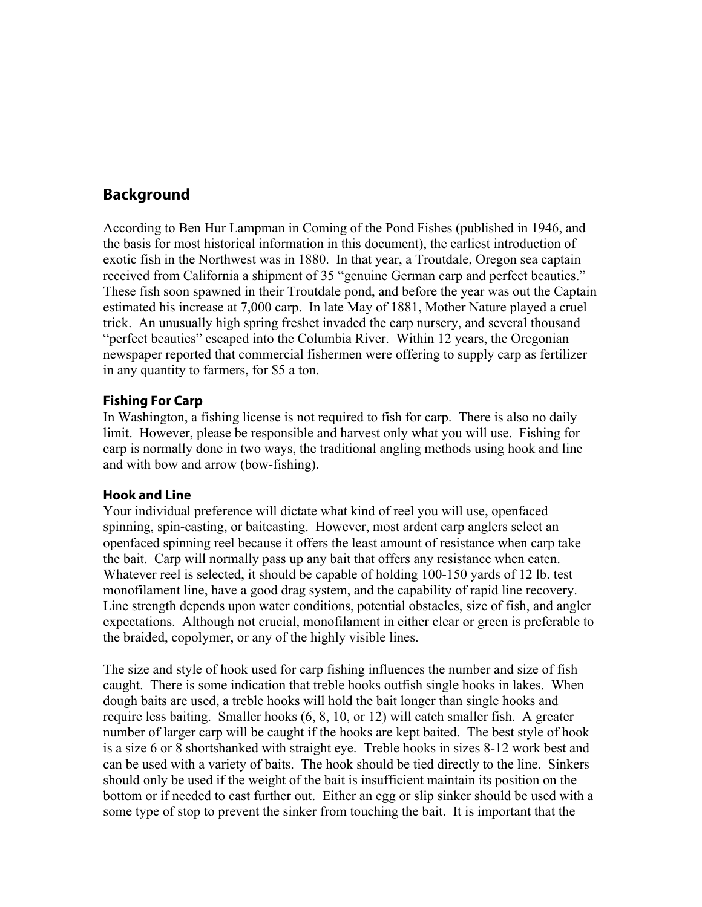# **Background**

According to Ben Hur Lampman in Coming of the Pond Fishes (published in 1946, and the basis for most historical information in this document), the earliest introduction of exotic fish in the Northwest was in 1880. In that year, a Troutdale, Oregon sea captain received from California a shipment of 35 "genuine German carp and perfect beauties." These fish soon spawned in their Troutdale pond, and before the year was out the Captain estimated his increase at 7,000 carp. In late May of 1881, Mother Nature played a cruel trick. An unusually high spring freshet invaded the carp nursery, and several thousand "perfect beauties" escaped into the Columbia River. Within 12 years, the Oregonian newspaper reported that commercial fishermen were offering to supply carp as fertilizer in any quantity to farmers, for \$5 a ton.

#### **Fishing For Carp**

In Washington, a fishing license is not required to fish for carp. There is also no daily limit. However, please be responsible and harvest only what you will use. Fishing for carp is normally done in two ways, the traditional angling methods using hook and line and with bow and arrow (bow-fishing).

#### **Hook and Line**

Your individual preference will dictate what kind of reel you will use, openfaced spinning, spin-casting, or baitcasting. However, most ardent carp anglers select an openfaced spinning reel because it offers the least amount of resistance when carp take the bait. Carp will normally pass up any bait that offers any resistance when eaten. Whatever reel is selected, it should be capable of holding 100-150 yards of 12 lb. test monofilament line, have a good drag system, and the capability of rapid line recovery. Line strength depends upon water conditions, potential obstacles, size of fish, and angler expectations. Although not crucial, monofilament in either clear or green is preferable to the braided, copolymer, or any of the highly visible lines.

The size and style of hook used for carp fishing influences the number and size of fish caught. There is some indication that treble hooks outfish single hooks in lakes. When dough baits are used, a treble hooks will hold the bait longer than single hooks and require less baiting. Smaller hooks (6, 8, 10, or 12) will catch smaller fish. A greater number of larger carp will be caught if the hooks are kept baited. The best style of hook is a size 6 or 8 shortshanked with straight eye. Treble hooks in sizes 8-12 work best and can be used with a variety of baits. The hook should be tied directly to the line. Sinkers should only be used if the weight of the bait is insufficient maintain its position on the bottom or if needed to cast further out. Either an egg or slip sinker should be used with a some type of stop to prevent the sinker from touching the bait. It is important that the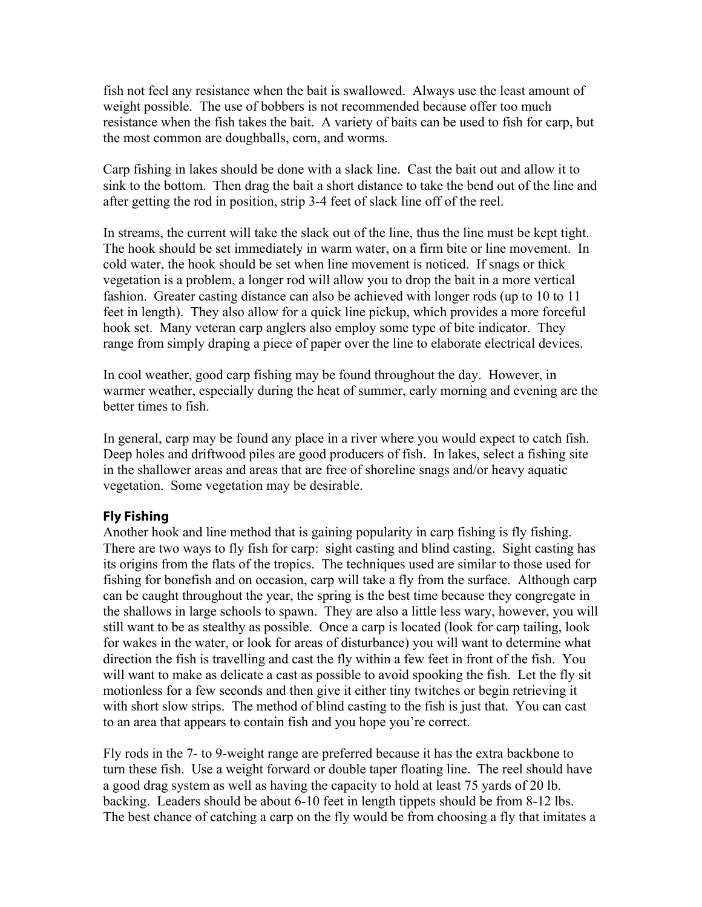fish not feel any resistance when the bait is swallowed. Always use the least amount of weight possible. The use of bobbers is not recommended because offer too much resistance when the fish takes the bait. A variety of baits can be used to fish for carp, but the most common are doughballs, corn, and worms.

Carp fishing in lakes should be done with a slack line. Cast the bait out and allow it to sink to the bottom. Then drag the bait a short distance to take the bend out of the line and after getting the rod in position, strip 3-4 feet of slack line off of the reel.

In streams, the current will take the slack out of the line, thus the line must be kept tight. The hook should be set immediately in warm water, on a firm bite or line movement. In cold water, the hook should be set when line movement is noticed. If snags or thick vegetation is a problem, a longer rod will allow you to drop the bait in a more vertical fashion. Greater casting distance can also be achieved with longer rods (up to 10 to 11 feet in length). They also allow for a quick line pickup, which provides a more forceful hook set. Many veteran carp anglers also employ some type of bite indicator. They range from simply draping a piece of paper over the line to elaborate electrical devices.

In cool weather, good carp fishing may be found throughout the day. However, in warmer weather, especially during the heat of summer, early morning and evening are the better times to fish.

In general, carp may be found any place in a river where you would expect to catch fish. Deep holes and driftwood piles are good producers of fish. In lakes, select a fishing site in the shallower areas and areas that are free of shoreline snags and/or heavy aquatic vegetation. Some vegetation may be desirable.

### **Fly Fishing**

Another hook and line method that is gaining popularity in carp fishing is fly fishing. There are two ways to fly fish for carp: sight casting and blind casting. Sight casting has its origins from the flats of the tropics. The techniques used are similar to those used for fishing for bonefish and on occasion, carp will take a fly from the surface. Although carp can be caught throughout the year, the spring is the best time because they congregate in the shallows in large schools to spawn. They are also a little less wary, however, you will still want to be as stealthy as possible. Once a carp is located (look for carp tailing, look for wakes in the water, or look for areas of disturbance) you will want to determine what direction the fish is travelling and cast the fly within a few feet in front of the fish. You will want to make as delicate a cast as possible to avoid spooking the fish. Let the fly sit motionless for a few seconds and then give it either tiny twitches or begin retrieving it with short slow strips. The method of blind casting to the fish is just that. You can cast to an area that appears to contain fish and you hope you're correct.

Fly rods in the 7- to 9-weight range are preferred because it has the extra backbone to turn these fish. Use a weight forward or double taper floating line. The reel should have a good drag system as well as having the capacity to hold at least 75 yards of 20 lb. backing. Leaders should be about 6-10 feet in length tippets should be from 8-12 lbs. The best chance of catching a carp on the fly would be from choosing a fly that imitates a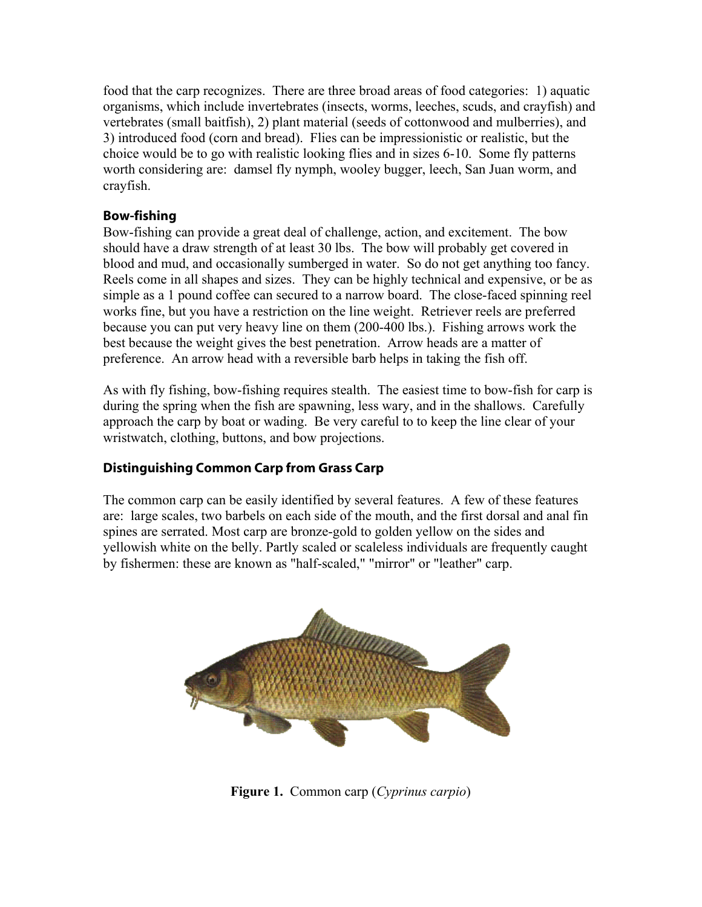food that the carp recognizes. There are three broad areas of food categories: 1) aquatic organisms, which include invertebrates (insects, worms, leeches, scuds, and crayfish) and vertebrates (small baitfish), 2) plant material (seeds of cottonwood and mulberries), and 3) introduced food (corn and bread). Flies can be impressionistic or realistic, but the choice would be to go with realistic looking flies and in sizes 6-10. Some fly patterns worth considering are: damsel fly nymph, wooley bugger, leech, San Juan worm, and crayfish.

### **Bow-fishing**

Bow-fishing can provide a great deal of challenge, action, and excitement. The bow should have a draw strength of at least 30 lbs. The bow will probably get covered in blood and mud, and occasionally sumberged in water. So do not get anything too fancy. Reels come in all shapes and sizes. They can be highly technical and expensive, or be as simple as a 1 pound coffee can secured to a narrow board. The close-faced spinning reel works fine, but you have a restriction on the line weight. Retriever reels are preferred because you can put very heavy line on them (200-400 lbs.). Fishing arrows work the best because the weight gives the best penetration. Arrow heads are a matter of preference. An arrow head with a reversible barb helps in taking the fish off.

As with fly fishing, bow-fishing requires stealth. The easiest time to bow-fish for carp is during the spring when the fish are spawning, less wary, and in the shallows. Carefully approach the carp by boat or wading. Be very careful to to keep the line clear of your wristwatch, clothing, buttons, and bow projections.

# **Distinguishing Common Carp from Grass Carp**

The common carp can be easily identified by several features. A few of these features are: large scales, two barbels on each side of the mouth, and the first dorsal and anal fin spines are serrated. Most carp are bronze-gold to golden yellow on the sides and yellowish white on the belly. Partly scaled or scaleless individuals are frequently caught by fishermen: these are known as "half-scaled," "mirror" or "leather" carp.



**Figure 1.** Common carp (*Cyprinus carpio*)